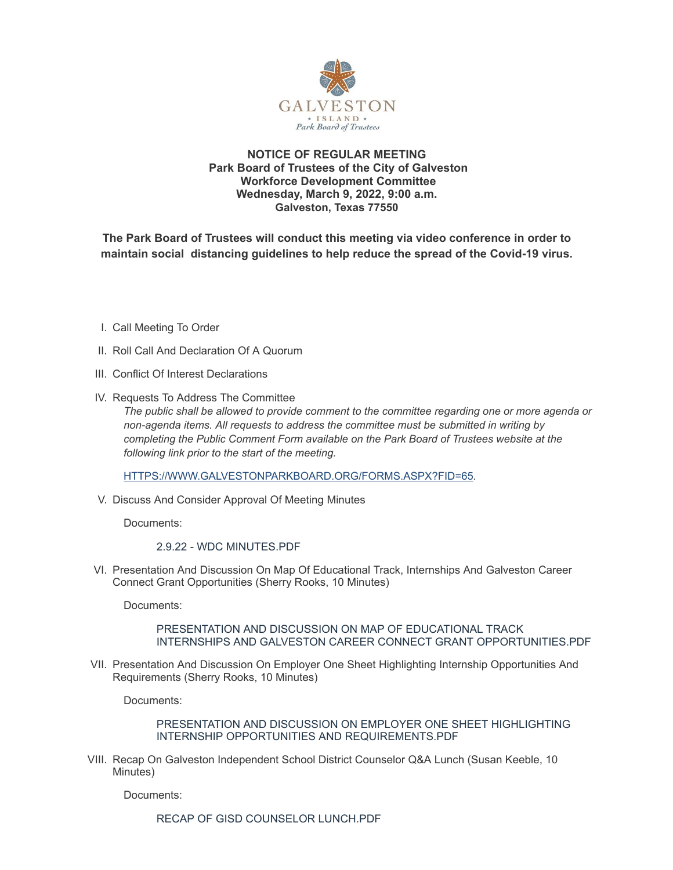

# **NOTICE OF REGULAR MEETING Park Board of Trustees of the City of Galveston Workforce Development Committee Wednesday, March 9, 2022, 9:00 a.m. Galveston, Texas 77550**

**The Park Board of Trustees will conduct this meeting via video conference in order to maintain social distancing guidelines to help reduce the spread of the Covid-19 virus.**

- I. Call Meeting To Order
- II. Roll Call And Declaration Of A Quorum
- III. Conflict Of Interest Declarations
- IV. Requests To Address The Committee

*The public shall be allowed to provide comment to the committee regarding one or more agenda or non-agenda items. All requests to address the committee must be submitted in writing by completing the Public Comment Form available on the Park Board of Trustees website at the following link prior to the start of the meeting.*

[HTTPS://WWW.GALVESTONPARKBOARD.ORG/FORMS.ASPX?FID=65](https://www.galvestonparkboard.org/forms.aspx?FID=65)*.*

V. Discuss And Consider Approval Of Meeting Minutes

Documents:

2.9.22 - WDC [MINUTES.PDF](https://www.galvestonparkboard.org/AgendaCenter/ViewFile/Item/7462?fileID=10939)

VI. Presentation And Discussion On Map Of Educational Track, Internships And Galveston Career Connect Grant Opportunities (Sherry Rooks, 10 Minutes)

Documents:

### PRESENTATION AND DISCUSSION ON MAP OF EDUCATIONAL TRACK INTERNSHIPS AND GALVESTON CAREER CONNECT GRANT [OPPORTUNITIES.PDF](https://www.galvestonparkboard.org/AgendaCenter/ViewFile/Item/7409?fileID=10926)

VII. Presentation And Discussion On Employer One Sheet Highlighting Internship Opportunities And Requirements (Sherry Rooks, 10 Minutes)

Documents:

PRESENTATION AND DISCUSSION ON EMPLOYER ONE SHEET HIGHLIGHTING INTERNSHIP OPPORTUNITIES AND [REQUIREMENTS.PDF](https://www.galvestonparkboard.org/AgendaCenter/ViewFile/Item/7410?fileID=10927)

VIII. Recap On Galveston Independent School District Counselor Q&A Lunch (Susan Keeble, 10 Minutes)

Documents:

RECAP OF GISD [COUNSELOR](https://www.galvestonparkboard.org/AgendaCenter/ViewFile/Item/7411?fileID=10924) LUNCH.PDF